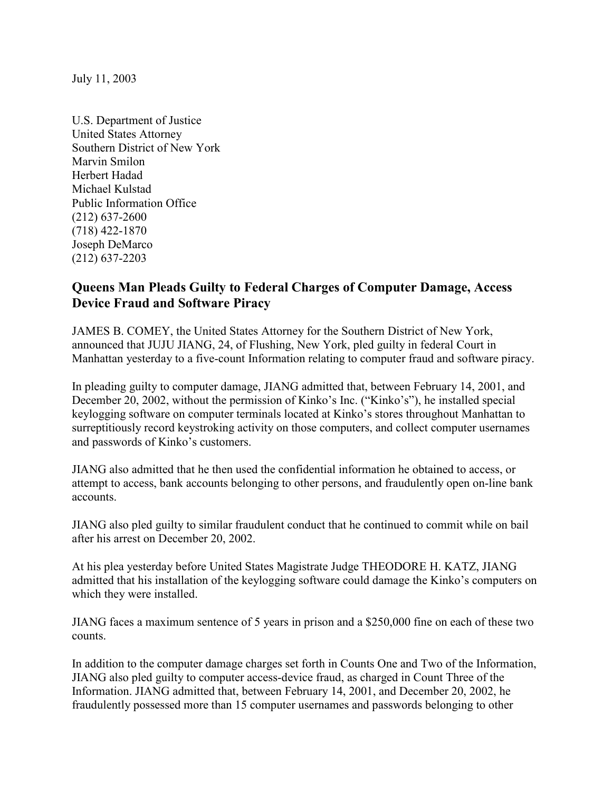July 11, 2003

U.S. Department of Justice United States Attorney Southern District of New York Marvin Smilon Herbert Hadad Michael Kulstad Public Information Office (212) 637-2600 (718) 422-1870 Joseph DeMarco (212) 637-2203

## **Queens Man Pleads Guilty to Federal Charges of Computer Damage, Access Device Fraud and Software Piracy**

JAMES B. COMEY, the United States Attorney for the Southern District of New York, announced that JUJU JIANG, 24, of Flushing, New York, pled guilty in federal Court in Manhattan yesterday to a five-count Information relating to computer fraud and software piracy.

In pleading guilty to computer damage, JIANG admitted that, between February 14, 2001, and December 20, 2002, without the permission of Kinko's Inc. ("Kinko's"), he installed special keylogging software on computer terminals located at Kinko's stores throughout Manhattan to surreptitiously record keystroking activity on those computers, and collect computer usernames and passwords of Kinko's customers.

JIANG also admitted that he then used the confidential information he obtained to access, or attempt to access, bank accounts belonging to other persons, and fraudulently open on-line bank accounts.

JIANG also pled guilty to similar fraudulent conduct that he continued to commit while on bail after his arrest on December 20, 2002.

At his plea yesterday before United States Magistrate Judge THEODORE H. KATZ, JIANG admitted that his installation of the keylogging software could damage the Kinko's computers on which they were installed.

JIANG faces a maximum sentence of 5 years in prison and a \$250,000 fine on each of these two counts.

In addition to the computer damage charges set forth in Counts One and Two of the Information, JIANG also pled guilty to computer access-device fraud, as charged in Count Three of the Information. JIANG admitted that, between February 14, 2001, and December 20, 2002, he fraudulently possessed more than 15 computer usernames and passwords belonging to other